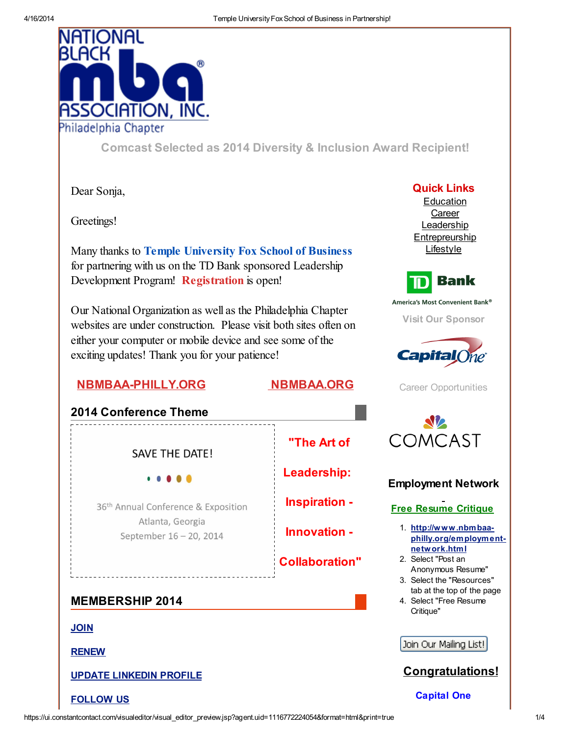

Comcast Selected as 2014 Diversity & Inclusion Award [Recipient!](http://r20.rs6.net/tn.jsp?e=001KLptv7A2PvKGKHDx7vxMZmg8JKJQFNJLnzfFa70rkonxyPO-13BL-8yurtVjfRgXmOyeji4EwmH9wD2KGzbxJs-u14ABU6Uzaz7V0FVGA2slpgq8zWp48aL49T0F4lNGyXz6opEShJ1qti2N2IRYfKzI7y1CcV99Zaf5ENiiqlRVOEXEwsISqmncMB7RXIDJjEr4Lkpc-cA=)

Dear Sonja,

Greetings!

Many thanks to Temple [University](http://r20.rs6.net/tn.jsp?e=001KLptv7A2PvKGKHDx7vxMZmg8JKJQFNJLnzfFa70rkonxyPO-13BL-8yurtVjfRgXmOyeji4EwmGKP_PBXHgmjGoqKH2L393XlXrGFBle2IF0IrdTJ1So_4GltedzTIyK5nvVFw9g9RzuZuLTJialC0l02MMz5SM-kYdd-WUU5s_onTJpzo3u5c7x5GzchAkB) Fox School of Business for partnering with us on the TD Bank sponsored Leadership Development Program! [Registration](http://r20.rs6.net/tn.jsp?e=001KLptv7A2PvKGKHDx7vxMZmg8JKJQFNJLnzfFa70rkonxyPO-13BL-8yurtVjfRgXiNNw4aJrXfOYq-3nY6sdOeVnDJfb5Q7LPwmPPyHOIVwmzV_frecwRe5glFORTq_6m9TNVo7rTyo0SpJNiybrTd0ILIQtH5Z7_gtIEOCnkLTrdUgm1AVopA==) is open!

Our National Organization as well as the Philadelphia Chapter websites are under construction. Please visit both sites often on either your computer or mobile device and see some of the exciting updates! Thank you for your patience!

# [NBMBAA-PHILLY.ORG](http://r20.rs6.net/tn.jsp?e=001KLptv7A2PvKGKHDx7vxMZmg8JKJQFNJLnzfFa70rkonxyPO-13BL-8yurtVjfRgXmOyeji4EwmHufQ3GcKp9cCCJqujEcLxEj2Feo3ltCDU=) [NBMBAA.ORG](http://r20.rs6.net/tn.jsp?e=001KLptv7A2PvKGKHDx7vxMZmg8JKJQFNJLnzfFa70rkonxyPO-13BL-8yurtVjfRgXmOyeji4EwmHufQ3GcKp9cDYZqJqcLIRzDDJmj1ReBdc=)



Quick Links **[Education](http://r20.rs6.net/tn.jsp?e=001KLptv7A2PvKGKHDx7vxMZmg8JKJQFNJLnzfFa70rkonxyPO-13BL-8yurtVjfRgXmOyeji4EwmHufQ3GcKp9cCCJqujEcLxEMMuKTDVMCBlfDYhIkvCiQD5nRx3EFPp3jItgxzTk8OM=) [Career](http://r20.rs6.net/tn.jsp?e=001KLptv7A2PvKGKHDx7vxMZmg8JKJQFNJLnzfFa70rkonxyPO-13BL-8yurtVjfRgXmOyeji4EwmHufQ3GcKp9cCCJqujEcLxEMMuKTDVMCBkxAwJU4sEXufQTL6FKjGoN)** [Leadership](http://r20.rs6.net/tn.jsp?e=001KLptv7A2PvKGKHDx7vxMZmg8JKJQFNJLnzfFa70rkonxyPO-13BL-8yurtVjfRgXmOyeji4EwmHufQ3GcKp9cCCJqujEcLxEMMuKTDVMCBlON4VuTmgds6J3cHMQel3zasdYVLl8d7E=) [Entrepreurship](http://r20.rs6.net/tn.jsp?e=001KLptv7A2PvKGKHDx7vxMZmg8JKJQFNJLnzfFa70rkonxyPO-13BL-8yurtVjfRgXmOyeji4EwmHufQ3GcKp9cCCJqujEcLxEMMuKTDVMCBlcgUwHJ5SOy1BDojfFQU6kfQwy7O-Zopg=)



[Lifestyle](http://r20.rs6.net/tn.jsp?e=001KLptv7A2PvKGKHDx7vxMZmg8JKJQFNJLnzfFa70rkonxyPO-13BL-8yurtVjfRgXmOyeji4EwmHufQ3GcKp9cCCJqujEcLxEMMuKTDVMCBlUahghJqUxMy9pi-PaEOs1_wHK6Wxpnb0=)

America's Most Convenient Bank®

Visit Our [Sponsor](http://r20.rs6.net/tn.jsp?e=001KLptv7A2PvKGKHDx7vxMZmg8JKJQFNJLnzfFa70rkonxyPO-13BL-8yurtVjfRgXmOyeji4EwmGEToRXyC9n6tL4QuucRZX8)



Career [Opportunities](http://r20.rs6.net/tn.jsp?e=001KLptv7A2PvKGKHDx7vxMZmg8JKJQFNJLnzfFa70rkonxyPO-13BL-8yurtVjfRgXmOyeji4EwmEgG9LbyNIfof9eYyEdb97DNnKVkA4-P2REGm7wJoV_mQ==)



# Employment Network

# Free Resume Critique

1. http://www.nbmbaa[philly.org/employment](http://r20.rs6.net/tn.jsp?e=001KLptv7A2PvKGKHDx7vxMZmg8JKJQFNJLnzfFa70rkonxyPO-13BL-8yurtVjfRgXmOyeji4EwmHufQ3GcKp9cCCJqujEcLxEMMuKTDVMCBnWn01WtVl0rEXN_xFQonRjdF47eNQ5J8khki5EQFeSvg==)network.html

- 2. Select "Post an Anonymous Resume"
- 3. Select the "Resources" tab at the top of the page
- 4. Select "Free Resume Critique"

Join Our Mailing List!



Capital One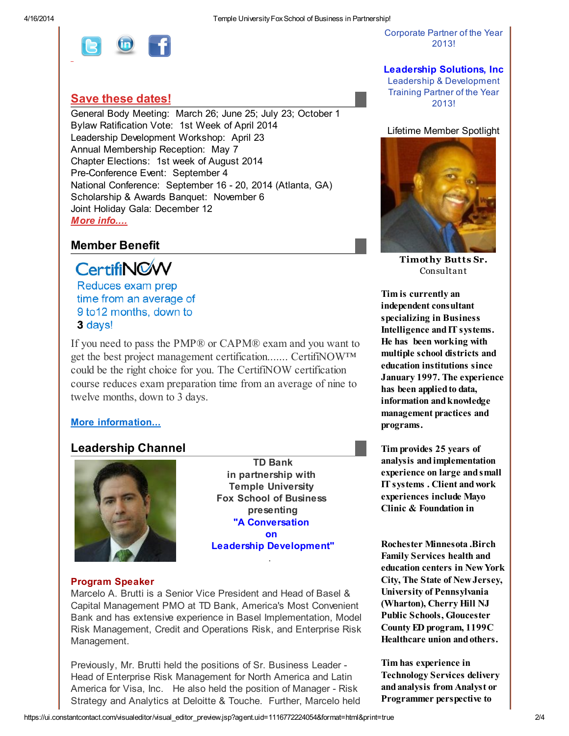

Corporate Partner of the Year 2013!

Leadership Solutions, Inc Leadership & Development

### Save these [dates!](http://r20.rs6.net/tn.jsp?e=001KLptv7A2PvKGKHDx7vxMZmg8JKJQFNJLnzfFa70rkonxyPO-13BL-8yurtVjfRgXmOyeji4EwmHufQ3GcKp9cCCJqujEcLxEMMuKTDVMCBkl4WFC3hRWL7zSXt9FZLcwJ4goMfFF-F8=)

General Body Meeting: March 26; June 25; July 23; October 1 Bylaw Ratification Vote: 1st Week of April 2014 Leadership Development Workshop: April 23 Annual Membership Reception: May 7 Chapter Elections: 1st week of August 2014 Pre-Conference Event: September 4 National Conference: September 16 - 20, 2014 (Atlanta, GA) Scholarship & Awards Banquet: November 6 Joint Holiday Gala: December 12 More [info....](http://r20.rs6.net/tn.jsp?e=001KLptv7A2PvKGKHDx7vxMZmg8JKJQFNJLnzfFa70rkonxyPO-13BL-8yurtVjfRgXmOyeji4EwmHufQ3GcKp9cCCJqujEcLxEMMuKTDVMCBkl4WFC3hRWL7zSXt9FZLcwJ4goMfFF-F8=)

# Member Benefit

**CertifiNOW** 

Reduces exam prep time from an average of 9 to 12 months, down to 3 days!

If you need to pass the [PMP®](http://r20.rs6.net/tn.jsp?e=001KLptv7A2PvKGKHDx7vxMZmg8JKJQFNJLnzfFa70rkonxyPO-13BL-8yurtVjfRgXmOyeji4EwmEdGZgKd6ZxwCfNINLGXGV7yN5_7nfsMsztL_oP-OV-BVFNYXlZNUM1-kYnIH6Lv9Kf0xFh0oO-Lg==) or CAPM® exam and you want to get the best project management certification....... CertifiNOW™ could be the right choice for you. The CertifiNOW certification course reduces exam preparation time from an average of nine to twelve months, down to 3 days.

### More [information...](http://r20.rs6.net/tn.jsp?e=001KLptv7A2PvKGKHDx7vxMZmg8JKJQFNJLnzfFa70rkonxyPO-13BL-8yurtVjfRgXmOyeji4EwmEdGZgKd6ZxwCfNINLGXGV7yN5_7nfsMsztL_oP-OV-BVFNYXlZNUM1-kYnIH6Lv9Kf0xFh0oO-Lg==)

### Leadership Channel



TD Bank in partnership with Temple University Fox School of Business presenting "A [Conversation](http://r20.rs6.net/tn.jsp?e=001KLptv7A2PvKGKHDx7vxMZmg8JKJQFNJLnzfFa70rkonxyPO-13BL-8yurtVjfRgXiNNw4aJrXfOYq-3nY6sdOeVnDJfb5Q7LPwmPPyHOIVwmzV_frecwRe5glFORTq_6m9TNVo7rTyo0SpJNiybrTd0ILIQtH5Z7_gtIEOCnkLTrdUgm1AVopA==) [on](http://r20.rs6.net/tn.jsp?e=001KLptv7A2PvKGKHDx7vxMZmg8JKJQFNJLnzfFa70rkonxyPO-13BL-8yurtVjfRgXiNNw4aJrXfOYq-3nY6sdOeVnDJfb5Q7LPwmPPyHOIVwmzV_frecwRe5glFORTq_6m9TNVo7rTyo0SpJNiybrTd0ILIQtH5Z7_gtIEOCnkLTrdUgm1AVopA==) Leadership [Development"](http://r20.rs6.net/tn.jsp?e=001KLptv7A2PvKGKHDx7vxMZmg8JKJQFNJLnzfFa70rkonxyPO-13BL-8yurtVjfRgXiNNw4aJrXfOYq-3nY6sdOeVnDJfb5Q7LPwmPPyHOIVwmzV_frecwRe5glFORTq_6m9TNVo7rTyo0SpJNiybrTd0ILIQtH5Z7_gtIEOCnkLTrdUgm1AVopA==)

.

#### Program Speaker

Marcelo A. Brutti is a Senior Vice President and Head of Basel & Capital Management PMO at TD Bank, America's Most Convenient Bank and has extensive experience in Basel Implementation, Model Risk Management, Credit and Operations Risk, and Enterprise Risk Management.

Previously, Mr. Brutti held the positions of Sr. Business Leader - Head of Enterprise Risk Management for North America and Latin America for Visa, Inc. He also held the position of Manager - Risk Strategy and Analytics at Deloitte & Touche. Further, Marcelo held Training Partner of the Year 2013!

Lifetime Member Spotlight



[Timothy](http://r20.rs6.net/tn.jsp?e=001KLptv7A2PvKGKHDx7vxMZmg8JKJQFNJLnzfFa70rkonxyPO-13BL-8yurtVjfRgXmOyeji4EwmFfyYXgYM1NJMS3hz4g8xHavFRVQ5BikcTR3ksNBaYmoQhX8d5SbVjhlBY3CmFrL9Y=) Butts Sr. Consultant

Tim is currently an independent consultant specializing in Business Intelligence and IT systems. He has been working with multiple school districts and education institutions since January 1997. The experience has been applied to data, information and knowledge management practices and programs.

Tim provides 25 years of analysis andimplementation experience on large andsmall IT systems . Client andwork experiences include Mayo Clinic & Foundation in

Rochester Minnesota .Birch Family Services health and education centers in NewYork City, The State of NewJersey, University of Pennsylvania (Wharton), Cherry Hill NJ Public Schools, Gloucester County ED program, 1199C Healthcare union andothers.

Tim has experience in Technology Services delivery andanalysis from Analyst or Programmer perspective to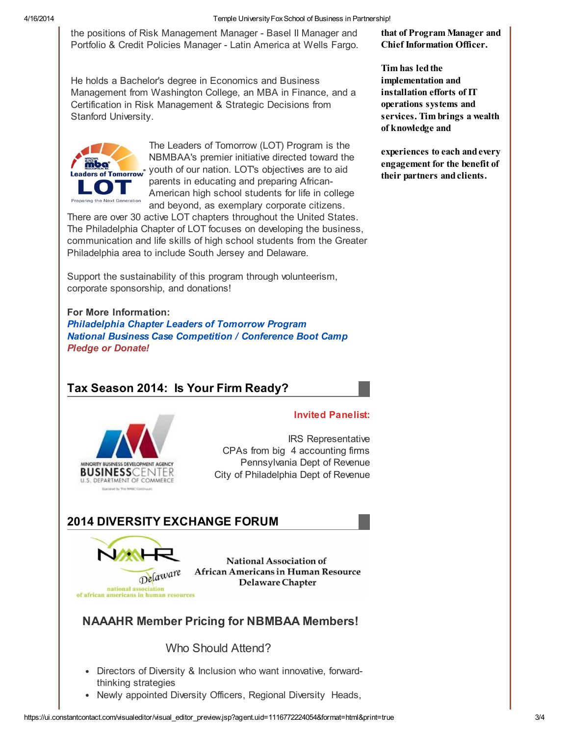#### 4/16/2014 Temple UniversityFoxSchool of Business in Partnership!

the positions of Risk Management Manager - Basel II Manager and Portfolio & Credit Policies Manager - Latin America at Wells Fargo.

He holds a Bachelor's degree in Economics and Business Management from Washington College, an MBA in Finance, and a Certification in Risk Management & Strategic Decisions from Stanford University.



The Leaders of Tomorrow (LOT) Program is the NBMBAA's premier initiative directed toward the youth of our nation. LOT's objectives are to aid parents in educating and preparing African-American high school students for life in college and beyond, as exemplary corporate citizens.

There are over 30 active LOT chapters throughout the United States. The Philadelphia Chapter of LOT focuses on developing the business, communication and life skills of high school students from the Greater Philadelphia area to include South Jersey and Delaware.

Support the sustainability of this program through volunteerism, corporate sponsorship, and donations!

### For More Information:

[Philadelphia](http://r20.rs6.net/tn.jsp?e=001KLptv7A2PvKGKHDx7vxMZmg8JKJQFNJLnzfFa70rkonxyPO-13BL-8yurtVjfRgXmOyeji4EwmHufQ3GcKp9cCCJqujEcLxEMMuKTDVMCBlbX3I5PNDZxaqI6BtCzZP3phgUMS0zM48=) Chapter Leaders of Tomorrow Program National Business Case [Competition](http://r20.rs6.net/tn.jsp?e=001KLptv7A2PvKGKHDx7vxMZmg8JKJQFNJLnzfFa70rkonxyPO-13BL-8yurtVjfRgXmOyeji4EwmEdGZgKd6ZxwCfNINLGXGV7yN5_7nfsMsy1fbhPrlm37SJb2Ss-e0Y4Z410B2esBio=) / Conference Boot Camp Pledge or [Donate!](http://r20.rs6.net/tn.jsp?e=001KLptv7A2PvKGKHDx7vxMZmg8JKJQFNJLnzfFa70rkonxyPO-13BL-8yurtVjfRgXiNNw4aJrXfMq0Z3leLEF98EsgvqSysyXGuwdR7m6QuCawpTSWM8tpbdl6Dn9uW3ceodErzrjiOSSQOnhZz-ObA==)

# Tax Season 2014: Is Your Firm Ready?



### Invited Panelist:

IRS Representative CPAs from big 4 accounting firms Pennsylvania Dept of Revenue City of Philadelphia Dept of Revenue

# 2014 DIVERSITY EXCHANGE FORUM



**National Association of African Americans in Human Resource** Delaware Chapter

# NAAAHR Member Pricing for NBMBAA Members!

# Who Should Attend?

- Directors of Diversity & Inclusion who want innovative, forwardthinking strategies
- Newly appointed Diversity Officers, Regional Diversity Heads,

Tim has ledthe implementation and installation efforts of IT operations systems and services. Tim brings a wealth of knowledge and

experiences to each andevery engagement for the benefit of their partners and clients.